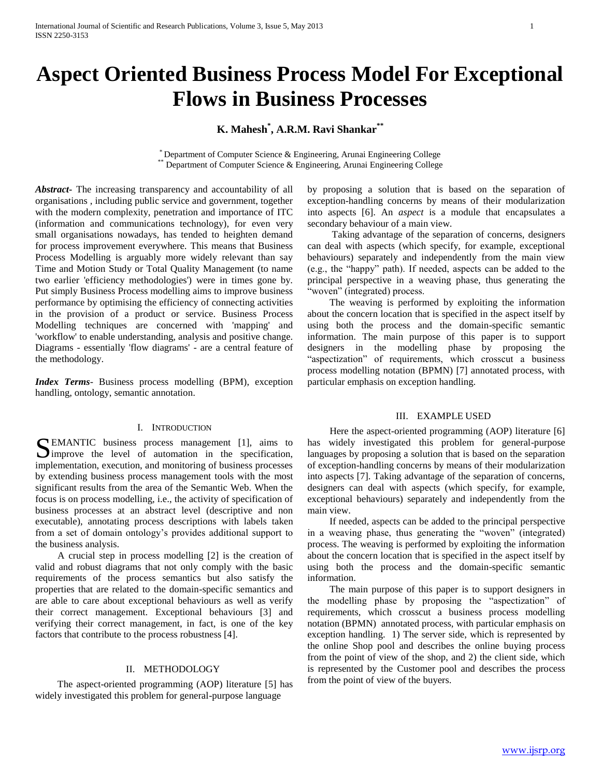# **Aspect Oriented Business Process Model For Exceptional Flows in Business Processes**

# **K. Mahesh\* , A.R.M. Ravi Shankar\*\***

\* Department of Computer Science & Engineering, Arunai Engineering College \* Department of Computer Science & Engineering, Arunai Engineering College

*Abstract***-** The increasing transparency and accountability of all organisations , including public service and government, together with the modern complexity, penetration and importance of ITC (information and communications technology), for even very small organisations nowadays, has tended to heighten demand for process improvement everywhere. This means that Business Process Modelling is arguably more widely relevant than say Time and Motion Study or Total Quality Management (to name two earlier 'efficiency methodologies') were in times gone by. Put simply Business Process modelling aims to improve business performance by optimising the efficiency of connecting activities in the provision of a product or service. Business Process Modelling techniques are concerned with 'mapping' and 'workflow' to enable understanding, analysis and positive change. Diagrams - essentially 'flow diagrams' - are a central feature of the methodology.

*Index Terms*- Business process modelling (BPM), exception handling, ontology, semantic annotation.

## I. INTRODUCTION

SEMANTIC business process management [1], aims to improve the level of automation in the specification, improve the level of automation in the specification, implementation, execution, and monitoring of business processes by extending business process management tools with the most significant results from the area of the Semantic Web. When the focus is on process modelling, i.e., the activity of specification of business processes at an abstract level (descriptive and non executable), annotating process descriptions with labels taken from a set of domain ontology's provides additional support to the business analysis.

 A crucial step in process modelling [2] is the creation of valid and robust diagrams that not only comply with the basic requirements of the process semantics but also satisfy the properties that are related to the domain-specific semantics and are able to care about exceptional behaviours as well as verify their correct management. Exceptional behaviours [3] and verifying their correct management, in fact, is one of the key factors that contribute to the process robustness [4].

# II. METHODOLOGY

 The aspect-oriented programming (AOP) literature [5] has widely investigated this problem for general-purpose language

by proposing a solution that is based on the separation of exception-handling concerns by means of their modularization into aspects [6]. An *aspect* is a module that encapsulates a secondary behaviour of a main view.

 Taking advantage of the separation of concerns, designers can deal with aspects (which specify, for example, exceptional behaviours) separately and independently from the main view (e.g., the "happy" path). If needed, aspects can be added to the principal perspective in a weaving phase, thus generating the 'woven" (integrated) process.

 The weaving is performed by exploiting the information about the concern location that is specified in the aspect itself by using both the process and the domain-specific semantic information. The main purpose of this paper is to support designers in the modelling phase by proposing the "aspectization" of requirements, which crosscut a business process modelling notation (BPMN) [7] annotated process, with particular emphasis on exception handling.

## III. EXAMPLE USED

 Here the aspect-oriented programming (AOP) literature [6] has widely investigated this problem for general-purpose languages by proposing a solution that is based on the separation of exception-handling concerns by means of their modularization into aspects [7]. Taking advantage of the separation of concerns, designers can deal with aspects (which specify, for example, exceptional behaviours) separately and independently from the main view.

 If needed, aspects can be added to the principal perspective in a weaving phase, thus generating the "woven" (integrated) process. The weaving is performed by exploiting the information about the concern location that is specified in the aspect itself by using both the process and the domain-specific semantic information.

 The main purpose of this paper is to support designers in the modelling phase by proposing the "aspectization" of requirements, which crosscut a business process modelling notation (BPMN) annotated process, with particular emphasis on exception handling. 1) The server side, which is represented by the online Shop pool and describes the online buying process from the point of view of the shop, and 2) the client side, which is represented by the Customer pool and describes the process from the point of view of the buyers.